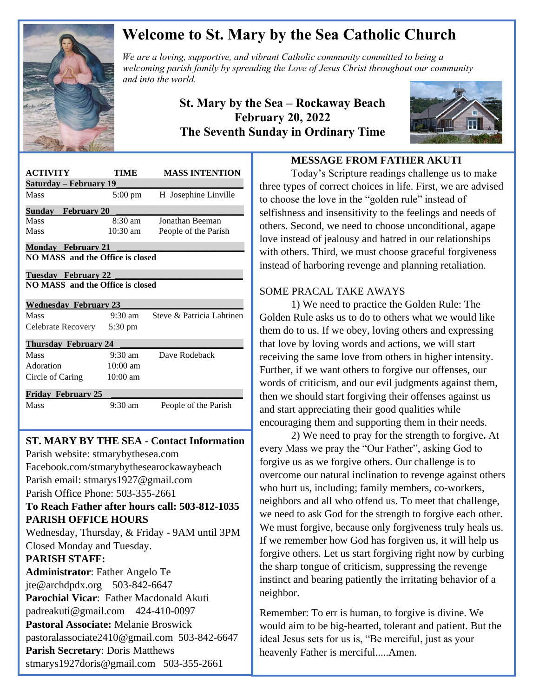

# **Welcome to St. Mary by the Sea Catholic Church**

*We are a loving, supportive, and vibrant Catholic community committed to being a We are a loving, supportive, and vibrant Catholic community committed to being a*  $\mathbb{Z}$ *welcoming parish family by spreading the Love of Jesus Christ throughout our community and into the world.*

> **St. Mary by the Sea – Rockaway Beach February 20, 2022 The Seventh Sunday in Ordinary Time**



| <b>ACTIVITY</b>                  | TIME               | <b>MASS INTENTION</b>     |
|----------------------------------|--------------------|---------------------------|
| <u> Saturday – February 19</u>   |                    |                           |
| Mass                             |                    |                           |
|                                  | $5:00 \text{ pm}$  | H Josephine Linville      |
| <b>February 20</b><br>Sundav     |                    |                           |
| Mass                             | $8:30 \text{ am}$  | Jonathan Beeman           |
| Mass                             | $10:30$ am         | People of the Parish      |
| <b>Monday February 21</b>        |                    |                           |
| NO MASS and the Office is closed |                    |                           |
|                                  |                    |                           |
| Tuesday February 22              |                    |                           |
| NO MASS and the Office is closed |                    |                           |
| <b>Wednesday February 23</b>     |                    |                           |
| Mass                             | 9:30 am            | Steve & Patricia Lahtinen |
|                                  |                    |                           |
|                                  |                    |                           |
| Celebrate Recovery 5:30 pm       |                    |                           |
| <b>Thursday February 24</b>      |                    |                           |
| Mass                             | $9:30$ am          | Dave Rodeback             |
| Adoration                        | $10:00$ am         |                           |
| Circle of Caring                 | $10:00 \text{ am}$ |                           |
| <b>Friday February 25</b>        |                    |                           |

 

 **ST. MARY BY THE SEA - Contact Information** Facebook.com/stmarybythesearockawaybeach Parish website: stmarybythesea.com Parish email: stmarys1927@gmail.com Parish Office Phone: 503-355-2661 **To Reach Father after hours call: 503-812-1035 PARISH OFFICE HOURS** Wednesday, Thursday, & Friday - 9AM until 3PM Closed Monday and Tuesday. **PARISH STAFF: Administrator**: Father Angelo Te jte@archdpdx.org 503-842-6647 **Parochial Vicar**: Father Macdonald Akuti padreakuti@gmail.com 424-410-0097 **Pastoral Associate:** Melanie Broswick pastoralassociate2410@gmail.com 503-842-6647 **Parish Secretary**: Doris Matthews

#### stmarys1927doris@gmail.com 503-355-2661

#### **MESSAGE FROM FATHER AKUTI**

Today's Scripture readings challenge us to make three types of correct choices in life. First, we are advised to choose the love in the "golden rule" instead of selfishness and insensitivity to the feelings and needs of others. Second, we need to choose unconditional, agape love instead of jealousy and hatred in our relationships with others. Third, we must choose graceful forgiveness instead of harboring revenge and planning retaliation.

#### SOME PRACAL TAKE AWAYS

1) We need to practice the Golden Rule: The Golden Rule asks us to do to others what we would like them do to us. If we obey, loving others and expressing that love by loving words and actions, we will start receiving the same love from others in higher intensity. Further, if we want others to forgive our offenses, our words of criticism, and our evil judgments against them, then we should start forgiving their offenses against us and start appreciating their good qualities while encouraging them and supporting them in their needs.

2) We need to pray for the strength to forgive**.** At every Mass we pray the "Our Father", asking God to forgive us as we forgive others. Our challenge is to overcome our natural inclination to revenge against others who hurt us, including; family members, co-workers, neighbors and all who offend us. To meet that challenge, we need to ask God for the strength to forgive each other. We must forgive, because only forgiveness truly heals us. If we remember how God has forgiven us, it will help us forgive others. Let us start forgiving right now by curbing the sharp tongue of criticism, suppressing the revenge instinct and bearing patiently the irritating behavior of a neighbor.

Remember: To err is human, to forgive is divine. We would aim to be big-hearted, tolerant and patient. But the ideal Jesus sets for us is, "Be merciful, just as your heavenly Father is merciful.....Amen.